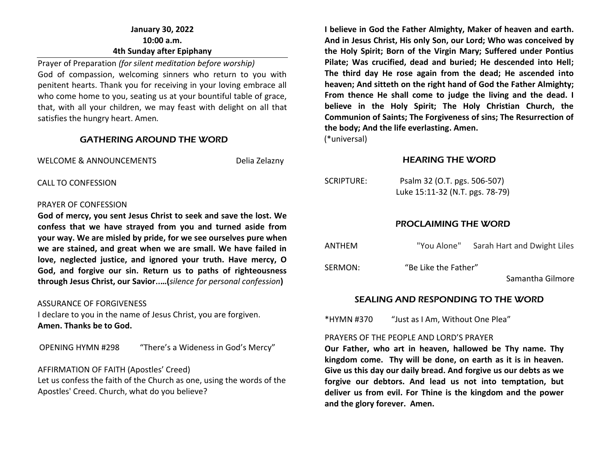## **January 30, 2022 10:00 a.m. 4th Sunday after Epiphany**

Prayer of Preparation *(for silent meditation before worship)* God of compassion, welcoming sinners who return to you with penitent hearts. Thank you for receiving in your loving embrace all who come home to you, seating us at your bountiful table of grace, that, with all your children, we may feast with delight on all that satisfies the hungry heart. Amen*.* 

#### GATHERING AROUND THE WORD

WELCOME & ANNOUNCEMENTS Delia Zelazny

CALL TO CONFESSION

#### PRAYER OF CONFESSION

**God of mercy, you sent Jesus Christ to seek and save the lost. We confess that we have strayed from you and turned aside from your way. We are misled by pride, for we see ourselves pure when we are stained, and great when we are small. We have failed in love, neglected justice, and ignored your truth. Have mercy, O God, and forgive our sin. Return us to paths of righteousness through Jesus Christ, our Savior..…(***silence for personal confession***)**

#### ASSURANCE OF FORGIVENESS

I declare to you in the name of Jesus Christ, you are forgiven. **Amen. Thanks be to God.**

OPENING HYMN #298 "There's a Wideness in God's Mercy"

#### AFFIRMATION OF FAITH (Apostles' Creed)

Let us confess the faith of the Church as one, using the words of the Apostles' Creed. Church, what do you believe?

**I believe in God the Father Almighty, Maker of heaven and earth. And in Jesus Christ, His only Son, our Lord; Who was conceived by the Holy Spirit; Born of the Virgin Mary; Suffered under Pontius Pilate; Was crucified, dead and buried; He descended into Hell; The third day He rose again from the dead; He ascended into heaven; And sitteth on the right hand of God the Father Almighty; From thence He shall come to judge the living and the dead. I believe in the Holy Spirit; The Holy Christian Church, the Communion of Saints; The Forgiveness of sins; The Resurrection of the body; And the life everlasting. Amen.**

(\*universal)

#### HEARING THE WORD

| SCRIPTURE: | Psalm 32 (O.T. pgs. 506-507)    |
|------------|---------------------------------|
|            | Luke 15:11-32 (N.T. pgs. 78-79) |

## PROCLAIMING THE WORD

| ANTHEM  | "You Alone"          | Sarah Hart and Dwight Liles |
|---------|----------------------|-----------------------------|
| SERMON: | "Be Like the Father" | Samantha Gilmore            |

## SEALING AND RESPONDING TO THE WORD

\*HYMN #370 "Just as I Am, Without One Plea"

#### PRAYERS OF THE PEOPLE AND LORD'S PRAYER

**Our Father, who art in heaven, hallowed be Thy name. Thy kingdom come. Thy will be done, on earth as it is in heaven. Give us this day our daily bread. And forgive us our debts as we forgive our debtors. And lead us not into temptation, but deliver us from evil. For Thine is the kingdom and the power and the glory forever. Amen.**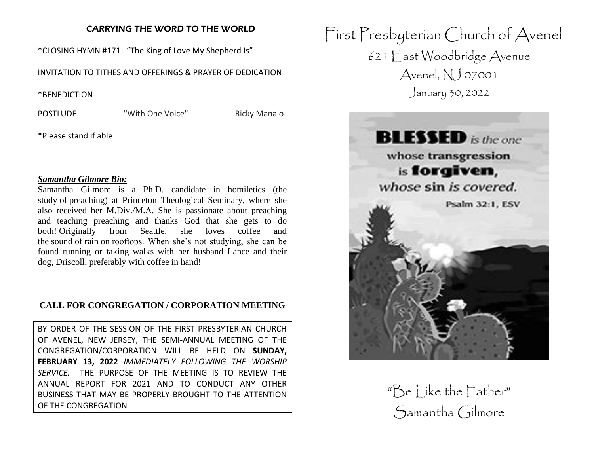## CARRYING THE WORD TO THE WORLD

\*CLOSING HYMN #171 "The King of Love My Shepherd Is"

INVITATION TO TITHES AND OFFERINGS & PRAYER OF DEDICATION

\*BENEDICTION

POSTLUDE "With One Voice" Ricky Manalo

\*Please stand if able

#### *Samantha Gilmore Bio:*

Samantha Gilmore is a Ph.D. candidate in homiletics (the study of preaching) at Princeton Theological Seminary, where she also received her M.Div./M.A. She is passionate about preaching and teaching preaching and thanks God that she gets to do both! Originally from Seattle, she loves coffee and the sound of rain on rooftops. When she's not studying, she can be found running or taking walks with her husband Lance and their dog, Driscoll, preferably with coffee in hand!

## **CALL FOR CONGREGATION / CORPORATION MEETING**

BY ORDER OF THE SESSION OF THE FIRST PRESBYTERIAN CHURCH OF AVENEL, NEW JERSEY, THE SEMI-ANNUAL MEETING OF THE CONGREGATION/CORPORATION WILL BE HELD ON **SUNDAY, FEBRUARY 13, 2022** *IMMEDIATELY FOLLOWING THE WORSHIP SERVICE.* THE PURPOSE OF THE MEETING IS TO REVIEW THE ANNUAL REPORT FOR 2021 AND TO CONDUCT ANY OTHER BUSINESS THAT MAY BE PROPERLY BROUGHT TO THE ATTENTION OF THE CONGREGATION

First Presbyterian Church of Avenel 621 East Woodbridge Avenue Avenel, NJ 07001 January 30, 2022



 $\mathbb{R}^n$  Se Like the Father" Samantha Gilmore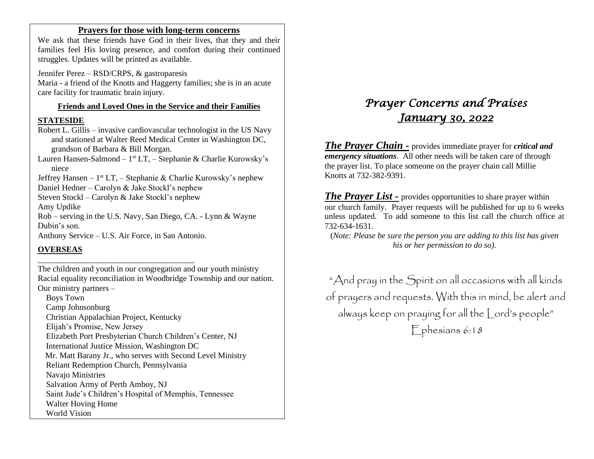### **Prayers for those with long-term concerns**

We ask that these friends have God in their lives, that they and their families feel His loving presence, and comfort during their continued struggles. Updates will be printed as available.

Jennifer Perez – RSD/CRPS, & gastroparesis Maria - a friend of the Knotts and Haggerty families; she is in an acute care facility for traumatic brain injury.

#### **Friends and Loved Ones in the Service and their Families**

#### **STATESIDE**

Robert L. Gillis – invasive cardiovascular technologist in the US Navy and stationed at Walter Reed Medical Center in Washington DC, grandson of Barbara & Bill Morgan.

Lauren Hansen-Salmond – 1<sup>st</sup> LT, – Stephanie & Charlie Kurowsky's niece

Jeffrey Hansen – 1<sup>st</sup> LT, – Stephanie & Charlie Kurowsky's nephew

Daniel Hedner – Carolyn & Jake Stockl's nephew

Steven Stockl – Carolyn & Jake Stockl's nephew

Amy Updike

Rob – serving in the U.S. Navy, San Diego, CA. - Lynn & Wayne Dubin's son.

Anthony Service – U.S. Air Force, in San Antonio.

\_\_\_\_\_\_\_\_\_\_\_\_\_\_\_\_\_\_\_\_\_\_\_\_\_\_\_\_\_\_\_\_\_\_\_\_\_\_

## **OVERSEAS**

The children and youth in our congregation and our youth ministry Racial equality reconciliation in Woodbridge Township and our nation. Our ministry partners –

 Boys Town Camp Johnsonburg Christian Appalachian Project, Kentucky Elijah's Promise, New Jersey Elizabeth Port Presbyterian Church Children's Center, NJ International Justice Mission, Washington DC Mr. Matt Barany Jr., who serves with Second Level Ministry Reliant Redemption Church, Pennsylvania Navajo Ministries Salvation Army of Perth Amboy, NJ Saint Jude's Children's Hospital of Memphis, Tennessee Walter Hoving Home World Vision

# *Prayer Concerns and Praises January 30, 2022*

*The Prayer Chain -* provides immediate prayer for *critical and emergency situations*. All other needs will be taken care of through the prayer list. To place someone on the prayer chain call Millie Knotts at 732-382-9391.

*The Prayer List -* provides opportunities to share prayer within our church family. Prayer requests will be published for up to 6 weeks unless updated. To add someone to this list call the church office at 732-634-1631.

(*Note: Please be sure the person you are adding to this list has given his or her permission to do so).*

"And pray in the Spirit on all occasions with all kinds of prayers and requests. With this in mind, be alert and always keep on praying for all the Lord's people" Ephesians 6:18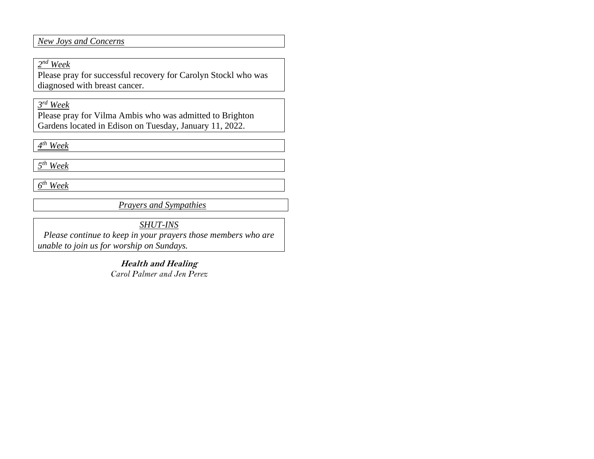*New Joys and Concerns*

## *2 nd Week*

Please pray for successful recovery for Carolyn Stockl who was diagnosed with breast cancer.

## *3 rd Week*

Please pray for Vilma Ambis who was admitted to Brighton Gardens located in Edison on Tuesday, January 11, 2022.

*4 th Week*

*5 th Week*

*6 th Week* 

*Prayers and Sympathies*

*SHUT-INS*

*Please continue to keep in your prayers those members who are unable to join us for worship on Sundays.* 

> **Health and Healing** *Carol Palmer and Jen Perez*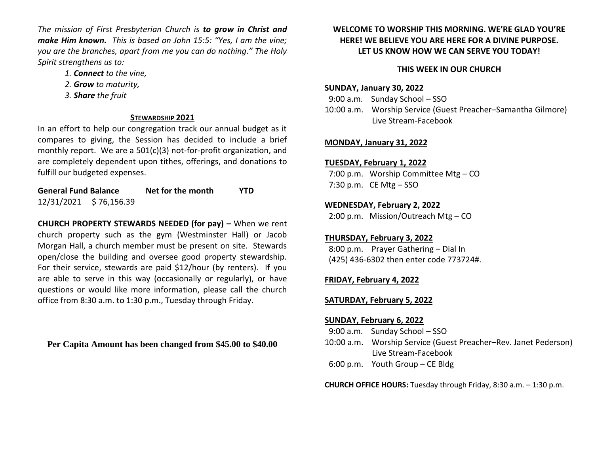*The mission of First Presbyterian Church is to grow in Christ and make Him known. This is based on John 15:5: "Yes, I am the vine; you are the branches, apart from me you can do nothing." The Holy Spirit strengthens us to:* 

- *1. Connect to the vine,*
- *2. Grow to maturity,*
- *3. Share the fruit*

## **STEWARDSHIP 2021**

In an effort to help our congregation track our annual budget as it compares to giving, the Session has decided to include a brief monthly report. We are a 501(c)(3) not-for-profit organization, and are completely dependent upon tithes, offerings, and donations to fulfill our budgeted expenses.

**General Fund Balance Net for the month YTD** 12/31/2021 \$ 76,156.39

**CHURCH PROPERTY STEWARDS NEEDED (for pay) –** When we rent church property such as the gym (Westminster Hall) or Jacob Morgan Hall, a church member must be present on site. Stewards open/close the building and oversee good property stewardship. For their service, stewards are paid \$12/hour (by renters). If you are able to serve in this way (occasionally or regularly), or have questions or would like more information, please call the church office from 8:30 a.m. to 1:30 p.m., Tuesday through Friday.

**Per Capita Amount has been changed from \$45.00 to \$40.00**

## **WELCOME TO WORSHIP THIS MORNING. WE'RE GLAD YOU'RE HERE! WE BELIEVE YOU ARE HERE FOR A DIVINE PURPOSE. LET US KNOW HOW WE CAN SERVE YOU TODAY!**

# **THIS WEEK IN OUR CHURCH**

# **SUNDAY, January 30, 2022**

 9:00 a.m. Sunday School – SSO 10:00 a.m. Worship Service (Guest Preacher–Samantha Gilmore) Live Stream-Facebook

# **MONDAY, January 31, 2022**

# **TUESDAY, February 1, 2022**

 7:00 p.m. Worship Committee Mtg – CO 7:30 p.m. CE Mtg  $-$  SSO

# **WEDNESDAY, February 2, 2022**

2:00 p.m. Mission/Outreach Mtg – CO

# **THURSDAY, February 3, 2022**

 8:00 p.m. Prayer Gathering – Dial In (425) 436-6302 then enter code 773724#.

# **FRIDAY, February 4, 2022**

# **SATURDAY, February 5, 2022**

# **SUNDAY, February 6, 2022**

- 9:00 a.m. Sunday School SSO
- 10:00 a.m. Worship Service (Guest Preacher–Rev. Janet Pederson) Live Stream-Facebook
- 6:00 p.m. Youth Group CE Bldg

**CHURCH OFFICE HOURS:** Tuesday through Friday, 8:30 a.m. – 1:30 p.m.